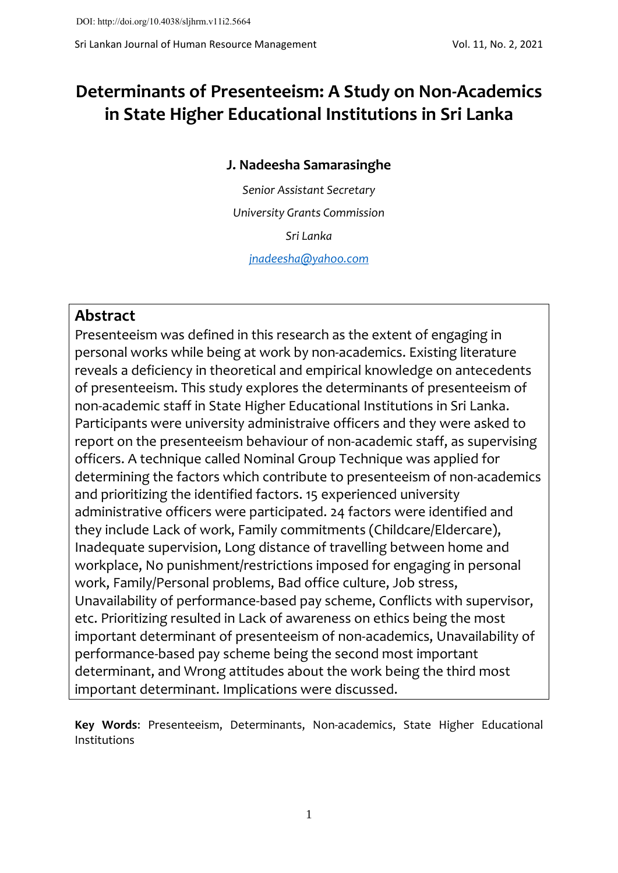# **Determinants of Presenteeism: A Study on Non-Academics in State Higher Educational Institutions in Sri Lanka**

### **J. Nadeesha Samarasinghe**

*Senior Assistant Secretary University Grants Commission Sri Lanka [jnadeesha@yahoo.com](mailto:jnadeesha@yahoo.com)*

# **Abstract**

Presenteeism was defined in this research as the extent of engaging in personal works while being at work by non-academics. Existing literature reveals a deficiency in theoretical and empirical knowledge on antecedents of presenteeism. This study explores the determinants of presenteeism of non-academic staff in State Higher Educational Institutions in Sri Lanka. Participants were university administraive officers and they were asked to report on the presenteeism behaviour of non-academic staff, as supervising officers. A technique called Nominal Group Technique was applied for determining the factors which contribute to presenteeism of non-academics and prioritizing the identified factors. 15 experienced university administrative officers were participated. 24 factors were identified and they include Lack of work, Family commitments (Childcare/Eldercare), Inadequate supervision, Long distance of travelling between home and workplace, No punishment/restrictions imposed for engaging in personal work, Family/Personal problems, Bad office culture, Job stress, Unavailability of performance-based pay scheme, Conflicts with supervisor, etc. Prioritizing resulted in Lack of awareness on ethics being the most important determinant of presenteeism of non-academics, Unavailability of performance-based pay scheme being the second most important determinant, and Wrong attitudes about the work being the third most important determinant. Implications were discussed.

**Key Words**: Presenteeism, Determinants, Non-academics, State Higher Educational Institutions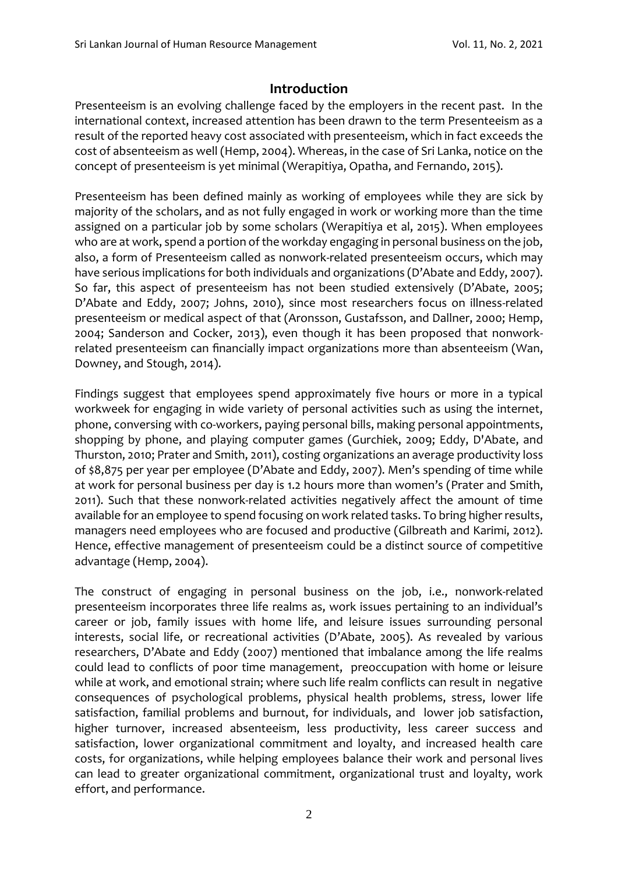## **Introduction**

Presenteeism is an evolving challenge faced by the employers in the recent past. In the international context, increased attention has been drawn to the term Presenteeism as a result of the reported heavy cost associated with presenteeism, which in fact exceeds the cost of absenteeism as well (Hemp, 2004). Whereas, in the case of Sri Lanka, notice on the concept of presenteeism is yet minimal (Werapitiya, Opatha, and Fernando, 2015).

Presenteeism has been defined mainly as working of employees while they are sick by majority of the scholars, and as not fully engaged in work or working more than the time assigned on a particular job by some scholars (Werapitiya et al, 2015). When employees who are at work, spend a portion of the workday engaging in personal business on the job, also, a form of Presenteeism called as nonwork-related presenteeism occurs, which may have serious implications for both individuals and organizations (D'Abate and Eddy, 2007). So far, this aspect of presenteeism has not been studied extensively (D'Abate, 2005; D'Abate and Eddy, 2007; Johns, 2010), since most researchers focus on illness-related presenteeism or medical aspect of that (Aronsson, Gustafsson, and Dallner, 2000; Hemp, 2004; Sanderson and Cocker, 2013), even though it has been proposed that nonworkrelated presenteeism can financially impact organizations more than absenteeism (Wan, Downey, and Stough, 2014).

Findings suggest that employees spend approximately five hours or more in a typical workweek for engaging in wide variety of personal activities such as using the internet, phone, conversing with co-workers, paying personal bills, making personal appointments, shopping by phone, and playing computer games (Gurchiek, 2009; Eddy, D'Abate, and Thurston, 2010; Prater and Smith, 2011), costing organizations an average productivity loss of \$8,875 per year per employee (D'Abate and Eddy, 2007). Men's spending of time while at work for personal business per day is 1.2 hours more than women's (Prater and Smith, 2011). Such that these nonwork-related activities negatively affect the amount of time available for an employee to spend focusing on work related tasks. To bring higher results, managers need employees who are focused and productive (Gilbreath and Karimi, 2012). Hence, effective management of presenteeism could be a distinct source of competitive advantage (Hemp, 2004).

The construct of engaging in personal business on the job, i.e., nonwork-related presenteeism incorporates three life realms as, work issues pertaining to an individual's career or job, family issues with home life, and leisure issues surrounding personal interests, social life, or recreational activities (D'Abate, 2005). As revealed by various researchers, D'Abate and Eddy (2007) mentioned that imbalance among the life realms could lead to conflicts of poor time management, preoccupation with home or leisure while at work, and emotional strain; where such life realm conflicts can result in negative consequences of psychological problems, physical health problems, stress, lower life satisfaction, familial problems and burnout, for individuals, and lower job satisfaction, higher turnover, increased absenteeism, less productivity, less career success and satisfaction, lower organizational commitment and loyalty, and increased health care costs, for organizations, while helping employees balance their work and personal lives can lead to greater organizational commitment, organizational trust and loyalty, work effort, and performance.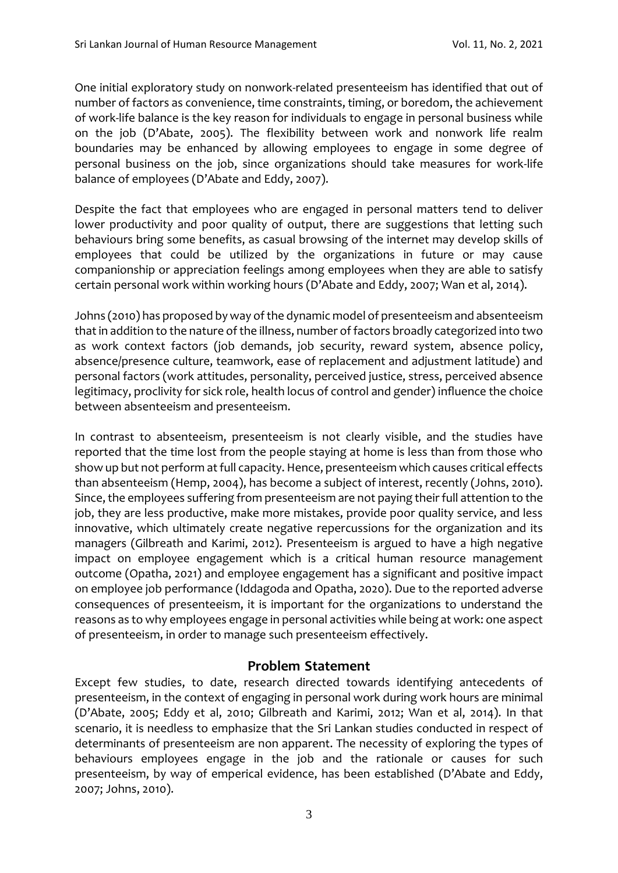One initial exploratory study on nonwork-related presenteeism has identified that out of number of factors as convenience, time constraints, timing, or boredom, the achievement of work-life balance is the key reason for individuals to engage in personal business while on the job (D'Abate, 2005). The flexibility between work and nonwork life realm boundaries may be enhanced by allowing employees to engage in some degree of personal business on the job, since organizations should take measures for work-life balance of employees (D'Abate and Eddy, 2007).

Despite the fact that employees who are engaged in personal matters tend to deliver lower productivity and poor quality of output, there are suggestions that letting such behaviours bring some benefits, as casual browsing of the internet may develop skills of employees that could be utilized by the organizations in future or may cause companionship or appreciation feelings among employees when they are able to satisfy certain personal work within working hours (D'Abate and Eddy, 2007; Wan et al, 2014).

Johns (2010) has proposed by way of the dynamic model of presenteeism and absenteeism that in addition to the nature of the illness, number of factors broadly categorized into two as work context factors (job demands, job security, reward system, absence policy, absence/presence culture, teamwork, ease of replacement and adjustment latitude) and personal factors (work attitudes, personality, perceived justice, stress, perceived absence legitimacy, proclivity for sick role, health locus of control and gender) influence the choice between absenteeism and presenteeism.

In contrast to absenteeism, presenteeism is not clearly visible, and the studies have reported that the time lost from the people staying at home is less than from those who show up but not perform at full capacity. Hence, presenteeism which causes critical effects than absenteeism (Hemp, 2004), has become a subject of interest, recently (Johns, 2010). Since, the employees suffering from presenteeism are not paying their full attention to the job, they are less productive, make more mistakes, provide poor quality service, and less innovative, which ultimately create negative repercussions for the organization and its managers (Gilbreath and Karimi, 2012). Presenteeism is argued to have a high negative impact on employee engagement which is a critical human resource management outcome (Opatha, 2021) and employee engagement has a significant and positive impact on employee job performance (Iddagoda and Opatha, 2020). Due to the reported adverse consequences of presenteeism, it is important for the organizations to understand the reasons as to why employees engage in personal activities while being at work: one aspect of presenteeism, in order to manage such presenteeism effectively.

#### **Problem Statement**

Except few studies, to date, research directed towards identifying antecedents of presenteeism, in the context of engaging in personal work during work hours are minimal (D'Abate, 2005; Eddy et al, 2010; Gilbreath and Karimi, 2012; Wan et al, 2014). In that scenario, it is needless to emphasize that the Sri Lankan studies conducted in respect of determinants of presenteeism are non apparent. The necessity of exploring the types of behaviours employees engage in the job and the rationale or causes for such presenteeism, by way of emperical evidence, has been established (D'Abate and Eddy, 2007; Johns, 2010).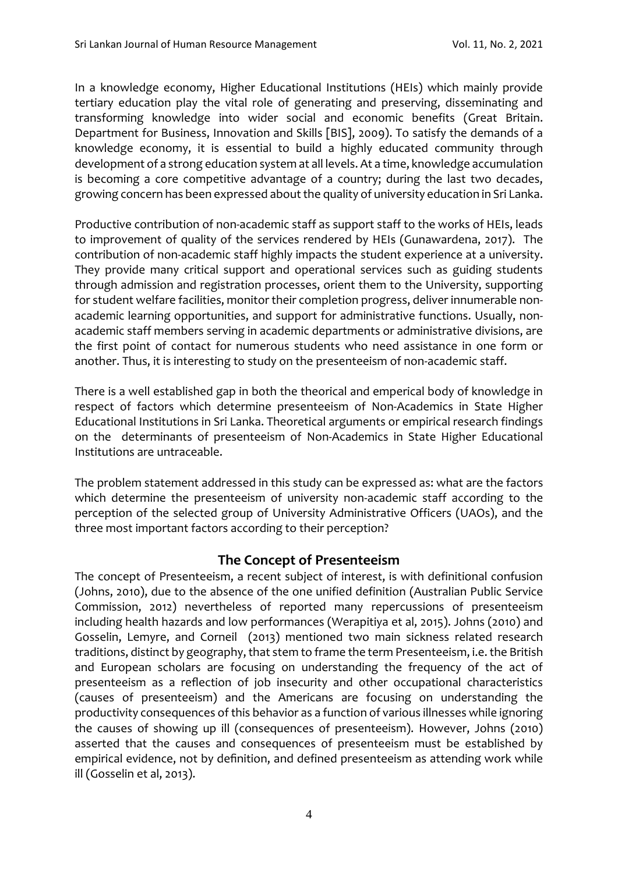In a knowledge economy, Higher Educational Institutions (HEIs) which mainly provide tertiary education play the vital role of generating and preserving, disseminating and transforming knowledge into wider social and economic benefits (Great Britain. Department for Business, Innovation and Skills [BIS], 2009). To satisfy the demands of a knowledge economy, it is essential to build a highly educated community through development of a strong education system at all levels. At a time, knowledge accumulation is becoming a core competitive advantage of a country; during the last two decades, growing concern has been expressed about the quality of university education in Sri Lanka.

Productive contribution of non-academic staff as support staff to the works of HEIs, leads to improvement of quality of the services rendered by HEIs (Gunawardena, 2017). The contribution of non-academic staff highly impacts the student experience at a university. They provide many critical support and operational services such as guiding students through admission and registration processes, orient them to the University, supporting for student welfare facilities, monitor their completion progress, deliver innumerable nonacademic learning opportunities, and support for administrative functions. Usually, nonacademic staff members serving in academic departments or administrative divisions, are the first point of contact for numerous students who need assistance in one form or another. Thus, it is interesting to study on the presenteeism of non-academic staff.

There is a well established gap in both the theorical and emperical body of knowledge in respect of factors which determine presenteeism of Non-Academics in State Higher Educational Institutions in Sri Lanka. Theoretical arguments or empirical research findings on the determinants of presenteeism of Non-Academics in State Higher Educational Institutions are untraceable.

The problem statement addressed in this study can be expressed as: what are the factors which determine the presenteeism of university non-academic staff according to the perception of the selected group of University Administrative Officers (UAOs), and the three most important factors according to their perception?

#### **The Concept of Presenteeism**

The concept of Presenteeism, a recent subject of interest, is with definitional confusion (Johns, 2010), due to the absence of the one unified definition (Australian Public Service Commission, 2012) nevertheless of reported many repercussions of presenteeism including health hazards and low performances (Werapitiya et al, 2015). Johns (2010) and Gosselin, Lemyre, and Corneil (2013) mentioned two main sickness related research traditions, distinct by geography, that stem to frame the term Presenteeism, i.e. the British and European scholars are focusing on understanding the frequency of the act of presenteeism as a reflection of job insecurity and other occupational characteristics (causes of presenteeism) and the Americans are focusing on understanding the productivity consequences of this behavior as a function of various illnesses while ignoring the causes of showing up ill (consequences of presenteeism). However, Johns (2010) asserted that the causes and consequences of presenteeism must be established by empirical evidence, not by definition, and defined presenteeism as attending work while ill (Gosselin et al, 2013).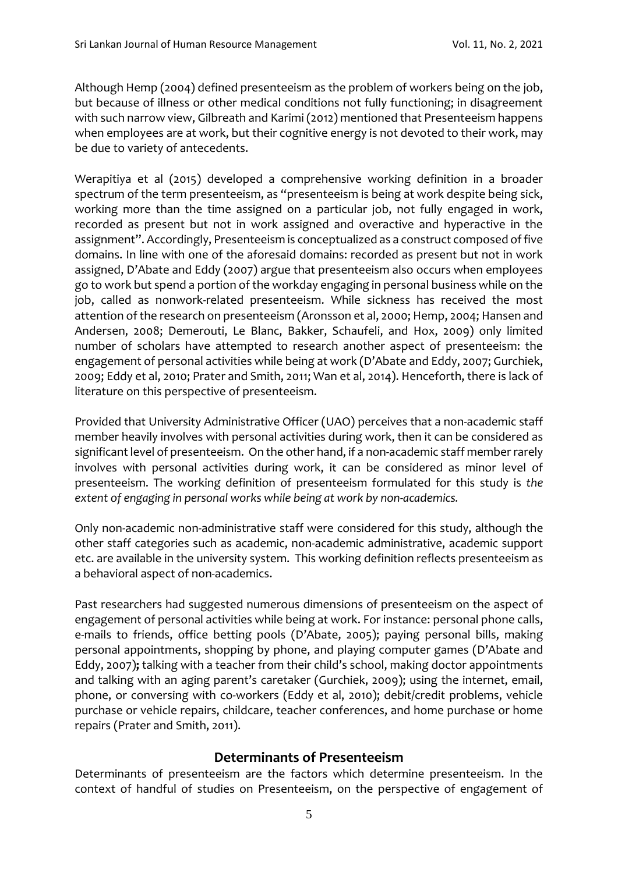Although Hemp (2004) defined presenteeism as the problem of workers being on the job, but because of illness or other medical conditions not fully functioning; in disagreement with such narrow view, Gilbreath and Karimi (2012) mentioned that Presenteeism happens when employees are at work, but their cognitive energy is not devoted to their work, may be due to variety of antecedents.

Werapitiya et al (2015) developed a comprehensive working definition in a broader spectrum of the term presenteeism, as "presenteeism is being at work despite being sick, working more than the time assigned on a particular job, not fully engaged in work, recorded as present but not in work assigned and overactive and hyperactive in the assignment". Accordingly, Presenteeism is conceptualized as a construct composed of five domains. In line with one of the aforesaid domains: recorded as present but not in work assigned, D'Abate and Eddy (2007) argue that presenteeism also occurs when employees go to work but spend a portion of the workday engaging in personal business while on the job, called as nonwork-related presenteeism. While sickness has received the most attention of the research on presenteeism (Aronsson et al, 2000; Hemp, 2004; Hansen and Andersen, 2008; Demerouti, Le Blanc, Bakker, Schaufeli, and Hox, 2009) only limited number of scholars have attempted to research another aspect of presenteeism: the engagement of personal activities while being at work (D'Abate and Eddy, 2007; Gurchiek, 2009; Eddy et al, 2010; Prater and Smith, 2011; Wan et al, 2014). Henceforth, there is lack of literature on this perspective of presenteeism.

Provided that University Administrative Officer (UAO) perceives that a non-academic staff member heavily involves with personal activities during work, then it can be considered as significant level of presenteeism. On the other hand, if a non-academic staff member rarely involves with personal activities during work, it can be considered as minor level of presenteeism. The working definition of presenteeism formulated for this study is *the extent of engaging in personal works while being at work by non-academics.*

Only non-academic non-administrative staff were considered for this study, although the other staff categories such as academic, non-academic administrative, academic support etc. are available in the university system. This working definition reflects presenteeism as a behavioral aspect of non-academics.

Past researchers had suggested numerous dimensions of presenteeism on the aspect of engagement of personal activities while being at work. For instance: personal phone calls, e-mails to friends, office betting pools (D'Abate, 2005); paying personal bills, making personal appointments, shopping by phone, and playing computer games (D'Abate and Eddy, 2007)**;** talking with a teacher from their child's school, making doctor appointments and talking with an aging parent's caretaker (Gurchiek, 2009); using the internet, email, phone, or conversing with co-workers (Eddy et al, 2010); debit/credit problems, vehicle purchase or vehicle repairs, childcare, teacher conferences, and home purchase or home repairs (Prater and Smith, 2011).

#### **Determinants of Presenteeism**

Determinants of presenteeism are the factors which determine presenteeism. In the context of handful of studies on Presenteeism, on the perspective of engagement of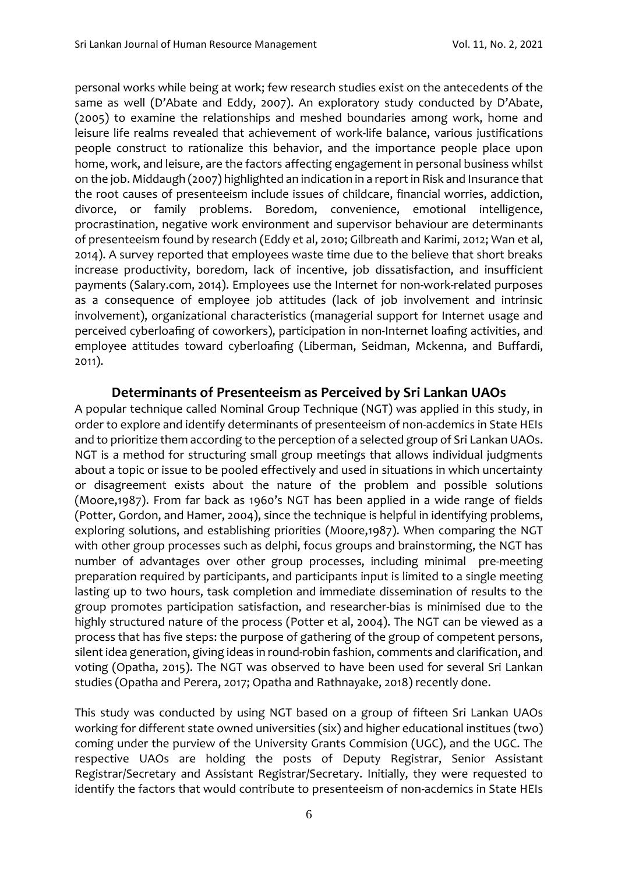personal works while being at work; few research studies exist on the antecedents of the same as well (D'Abate and Eddy, 2007). An exploratory study conducted by D'Abate, (2005) to examine the relationships and meshed boundaries among work, home and leisure life realms revealed that achievement of work-life balance, various justifications people construct to rationalize this behavior, and the importance people place upon home, work, and leisure, are the factors affecting engagement in personal business whilst on the job. Middaugh (2007) highlighted an indication in a report in Risk and Insurance that the root causes of presenteeism include issues of childcare, financial worries, addiction, divorce, or family problems. Boredom, convenience, emotional intelligence, procrastination, negative work environment and supervisor behaviour are determinants of presenteeism found by research (Eddy et al, 2010; Gilbreath and Karimi, 2012; Wan et al, 2014). A survey reported that employees waste time due to the believe that short breaks increase productivity, boredom, lack of incentive, job dissatisfaction, and insufficient payments (Salary.com, 2014). Employees use the Internet for non-work-related purposes as a consequence of employee job attitudes (lack of job involvement and intrinsic involvement), organizational characteristics (managerial support for Internet usage and perceived cyberloafing of coworkers), participation in non-Internet loafing activities, and employee attitudes toward cyberloafing (Liberman, Seidman, Mckenna, and Buffardi, 2011).

#### **Determinants of Presenteeism as Perceived by Sri Lankan UAOs**

A popular technique called Nominal Group Technique (NGT) was applied in this study, in order to explore and identify determinants of presenteeism of non-acdemics in State HEIs and to prioritize them according to the perception of a selected group of Sri Lankan UAOs. NGT is a method for structuring small group meetings that allows individual judgments about a topic or issue to be pooled effectively and used in situations in which uncertainty or disagreement exists about the nature of the problem and possible solutions (Moore,1987). From far back as 1960's NGT has been applied in a wide range of fields (Potter, Gordon, and Hamer, 2004), since the technique is helpful in identifying problems, exploring solutions, and establishing priorities (Moore,1987). When comparing the NGT with other group processes such as delphi, focus groups and brainstorming, the NGT has number of advantages over other group processes, including minimal pre-meeting preparation required by participants, and participants input is limited to a single meeting lasting up to two hours, task completion and immediate dissemination of results to the group promotes participation satisfaction, and researcher-bias is minimised due to the highly structured nature of the process (Potter et al, 2004). The NGT can be viewed as a process that has five steps: the purpose of gathering of the group of competent persons, silent idea generation, giving ideas in round-robin fashion, comments and clarification, and voting (Opatha, 2015). The NGT was observed to have been used for several Sri Lankan studies (Opatha and Perera, 2017; Opatha and Rathnayake, 2018) recently done.

This study was conducted by using NGT based on a group of fifteen Sri Lankan UAOs working for different state owned universities (six) and higher educational institues (two) coming under the purview of the University Grants Commision (UGC), and the UGC. The respective UAOs are holding the posts of Deputy Registrar, Senior Assistant Registrar/Secretary and Assistant Registrar/Secretary. Initially, they were requested to identify the factors that would contribute to presenteeism of non-acdemics in State HEIs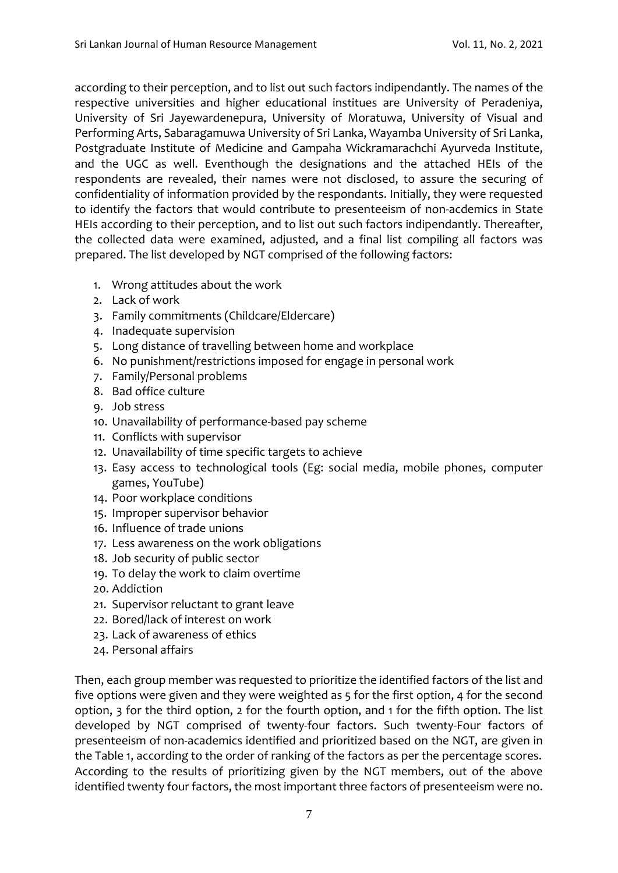according to their perception, and to list out such factors indipendantly. The names of the respective universities and higher educational institues are University of Peradeniya, University of Sri Jayewardenepura, University of Moratuwa, University of Visual and Performing Arts, Sabaragamuwa University of Sri Lanka, Wayamba University of Sri Lanka, Postgraduate Institute of Medicine and Gampaha Wickramarachchi Ayurveda Institute, and the UGC as well. Eventhough the designations and the attached HEIs of the respondents are revealed, their names were not disclosed, to assure the securing of confidentiality of information provided by the respondants. Initially, they were requested to identify the factors that would contribute to presenteeism of non-acdemics in State HEIs according to their perception, and to list out such factors indipendantly. Thereafter, the collected data were examined, adjusted, and a final list compiling all factors was prepared. The list developed by NGT comprised of the following factors:

- 1. Wrong attitudes about the work
- 2. Lack of work
- 3. Family commitments (Childcare/Eldercare)
- 4. Inadequate supervision
- 5. Long distance of travelling between home and workplace
- 6. No punishment/restrictions imposed for engage in personal work
- 7. Family/Personal problems
- 8. Bad office culture
- 9. Job stress
- 10. Unavailability of performance-based pay scheme
- 11. Conflicts with supervisor
- 12. Unavailability of time specific targets to achieve
- 13. Easy access to technological tools (Eg: social media, mobile phones, computer games, YouTube)
- 14. Poor workplace conditions
- 15. Improper supervisor behavior
- 16. Influence of trade unions
- 17. Less awareness on the work obligations
- 18. Job security of public sector
- 19. To delay the work to claim overtime
- 20. Addiction
- 21. Supervisor reluctant to grant leave
- 22. Bored/lack of interest on work
- 23. Lack of awareness of ethics
- 24. Personal affairs

Then, each group member was requested to prioritize the identified factors of the list and five options were given and they were weighted as 5 for the first option, 4 for the second option, 3 for the third option, 2 for the fourth option, and 1 for the fifth option. The list developed by NGT comprised of twenty-four factors. Such twenty-Four factors of presenteeism of non-academics identified and prioritized based on the NGT, are given in the Table 1, according to the order of ranking of the factors as per the percentage scores. According to the results of prioritizing given by the NGT members, out of the above identified twenty four factors, the most important three factors of presenteeism were no.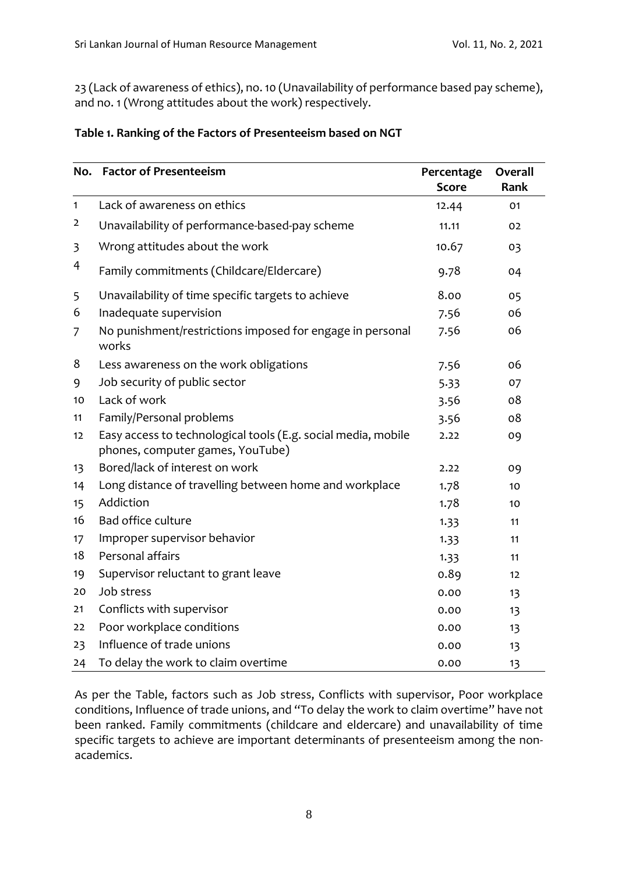23 (Lack of awareness of ethics), no. 10 (Unavailability of performance based pay scheme), and no. 1 (Wrong attitudes about the work) respectively.

|              | No. Factor of Presenteeism                                                                        | Percentage   | Overall |
|--------------|---------------------------------------------------------------------------------------------------|--------------|---------|
|              |                                                                                                   | <b>Score</b> | Rank    |
| $\mathbf{1}$ | Lack of awareness on ethics                                                                       | 12.44        | 01      |
| 2            | Unavailability of performance-based-pay scheme                                                    | 11.11        | 02      |
| 3            | Wrong attitudes about the work                                                                    | 10.67        | 03      |
| 4            | Family commitments (Childcare/Eldercare)                                                          | 9.78         | 04      |
| 5            | Unavailability of time specific targets to achieve                                                | 8.00         | 05      |
| 6            | Inadequate supervision                                                                            | 7.56         | 06      |
| 7            | No punishment/restrictions imposed for engage in personal<br>works                                | 7.56         | 06      |
| 8            | Less awareness on the work obligations                                                            | 7.56         | 06      |
| 9            | Job security of public sector                                                                     | 5.33         | 07      |
| 10           | Lack of work                                                                                      | 3.56         | 08      |
| 11           | Family/Personal problems                                                                          | 3.56         | 08      |
| 12           | Easy access to technological tools (E.g. social media, mobile<br>phones, computer games, YouTube) | 2.22         | 09      |
| 13           | Bored/lack of interest on work                                                                    | 2.22         | 09      |
| 14           | Long distance of travelling between home and workplace                                            | 1.78         | 10      |
| 15           | Addiction                                                                                         | 1.78         | 10      |
| 16           | Bad office culture                                                                                | 1.33         | 11      |
| 17           | Improper supervisor behavior                                                                      | 1.33         | 11      |
| 18           | Personal affairs                                                                                  | 1.33         | 11      |
| 19           | Supervisor reluctant to grant leave                                                               | 0.89         | 12      |
| 20           | Job stress                                                                                        | 0.00         | 13      |
| 21           | Conflicts with supervisor                                                                         | 0.00         | 13      |
| 22           | Poor workplace conditions                                                                         | 0.00         | 13      |
| 23           | Influence of trade unions                                                                         | 0.00         | 13      |
| 24           | To delay the work to claim overtime                                                               | 0.00         | 13      |

#### **Table 1. Ranking of the Factors of Presenteeism based on NGT**

As per the Table, factors such as Job stress, Conflicts with supervisor, Poor workplace conditions, Influence of trade unions, and "To delay the work to claim overtime" have not been ranked. Family commitments (childcare and eldercare) and unavailability of time specific targets to achieve are important determinants of presenteeism among the nonacademics.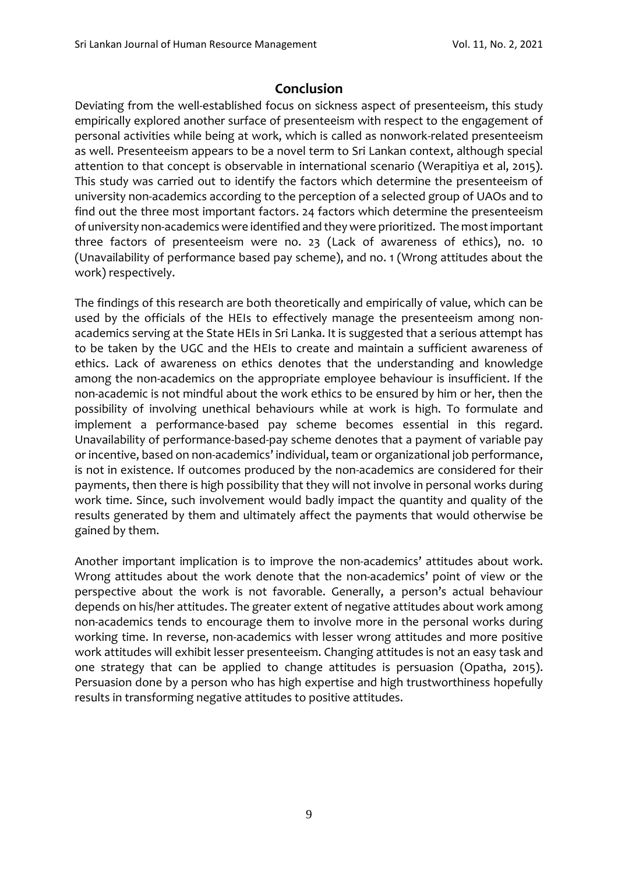# **Conclusion**

Deviating from the well-established focus on sickness aspect of presenteeism, this study empirically explored another surface of presenteeism with respect to the engagement of personal activities while being at work, which is called as nonwork-related presenteeism as well. Presenteeism appears to be a novel term to Sri Lankan context, although special attention to that concept is observable in international scenario (Werapitiya et al, 2015). This study was carried out to identify the factors which determine the presenteeism of university non-academics according to the perception of a selected group of UAOs and to find out the three most important factors. 24 factors which determine the presenteeism of university non-academics were identified and they were prioritized. The most important three factors of presenteeism were no. 23 (Lack of awareness of ethics), no. 10 (Unavailability of performance based pay scheme), and no. 1 (Wrong attitudes about the work) respectively.

The findings of this research are both theoretically and empirically of value, which can be used by the officials of the HEIs to effectively manage the presenteeism among nonacademics serving at the State HEIs in Sri Lanka. It is suggested that a serious attempt has to be taken by the UGC and the HEIs to create and maintain a sufficient awareness of ethics. Lack of awareness on ethics denotes that the understanding and knowledge among the non-academics on the appropriate employee behaviour is insufficient. If the non-academic is not mindful about the work ethics to be ensured by him or her, then the possibility of involving unethical behaviours while at work is high. To formulate and implement a performance-based pay scheme becomes essential in this regard. Unavailability of performance-based-pay scheme denotes that a payment of variable pay or incentive, based on non-academics' individual, team or organizational job performance, is not in existence. If outcomes produced by the non-academics are considered for their payments, then there is high possibility that they will not involve in personal works during work time. Since, such involvement would badly impact the quantity and quality of the results generated by them and ultimately affect the payments that would otherwise be gained by them.

Another important implication is to improve the non-academics' attitudes about work. Wrong attitudes about the work denote that the non-academics' point of view or the perspective about the work is not favorable. Generally, a person's actual behaviour depends on his/her attitudes. The greater extent of negative attitudes about work among non-academics tends to encourage them to involve more in the personal works during working time. In reverse, non-academics with lesser wrong attitudes and more positive work attitudes will exhibit lesser presenteeism. Changing attitudes is not an easy task and one strategy that can be applied to change attitudes is persuasion (Opatha, 2015). Persuasion done by a person who has high expertise and high trustworthiness hopefully results in transforming negative attitudes to positive attitudes.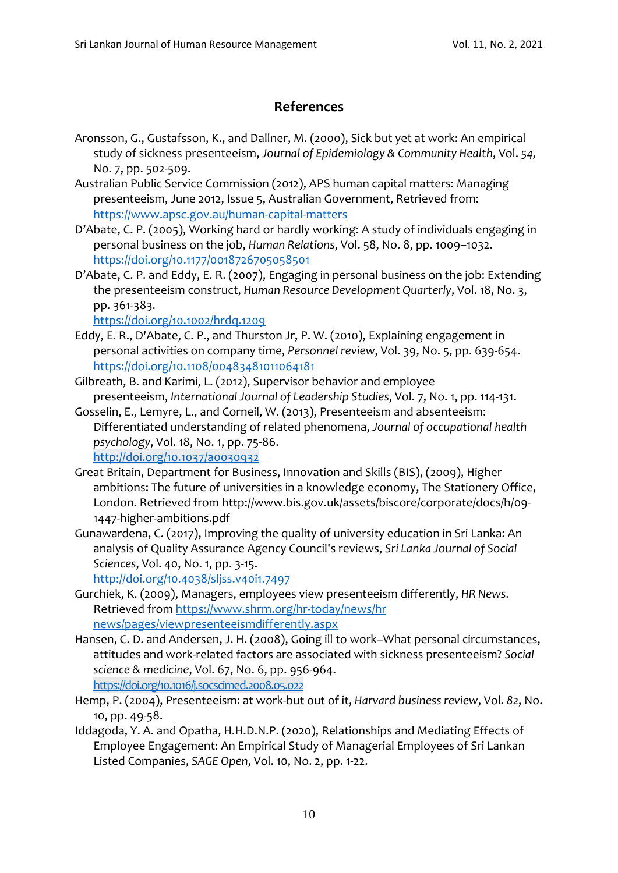# **References**

- Aronsson, G., Gustafsson, K., and Dallner, M. (2000), Sick but yet at work: An empirical study of sickness presenteeism, *Journal of Epidemiology & Community Health*, Vol. *54,*  No. 7, pp. 502-509.
- Australian Public Service Commission (2012), APS human capital matters: Managing presenteeism, June 2012, Issue 5, Australian Government, Retrieved from: <https://www.apsc.gov.au/human-capital-matters>
- D'Abate, C. P. (2005), Working hard or hardly working: A study of individuals engaging in personal business on the job, *Human Relations*, Vol. 58, No. 8, pp. 1009–1032. <https://doi.org/10.1177/0018726705058501>
- D'Abate, C. P. and Eddy, E. R. (2007), Engaging in personal business on the job: Extending the presenteeism construct, *Human Resource Development Quarterly*, Vol. 18, No. 3, pp. 361-383.

<https://doi.org/10.1002/hrdq.1209>

- Eddy, E. R., D'Abate, C. P., and Thurston Jr, P. W. (2010), Explaining engagement in personal activities on company time, *Personnel review*, Vol. 39, No. 5, pp. 639-654. <https://doi.org/10.1108/00483481011064181>
- Gilbreath, B. and Karimi, L. (2012), Supervisor behavior and employee presenteeism, *International Journal of Leadership Studies*, Vol. 7, No. 1, pp. 114-131.
- Gosselin, E., Lemyre, L., and Corneil, W. (2013), Presenteeism and absenteeism: Differentiated understanding of related phenomena, *Journal of occupational health psychology*, Vol. 18, No. 1, pp. 75-86. <http://doi.org/10.1037/a0030932>
- Great Britain, Department for Business, Innovation and Skills (BIS), (2009), Higher ambitions: The future of universities in a knowledge economy, The Stationery Office, London. Retrieved from [http://www.bis.gov.uk/assets/biscore/corporate/docs/h/09-](http://www.bis.gov.uk/assets/biscore/corporate/docs/h/09-1447-higher-ambitions.pdf) [1447-higher-ambitions.pdf](http://www.bis.gov.uk/assets/biscore/corporate/docs/h/09-1447-higher-ambitions.pdf)
- Gunawardena, C. (2017), Improving the quality of university education in Sri Lanka: An analysis of Quality Assurance Agency Council's reviews, *Sri Lanka Journal of Social Sciences*, Vol. 40, No. 1, pp. 3-15.

<http://doi.org/10.4038/sljss.v40i1.7497>

- Gurchiek, K. (2009), Managers, employees view presenteeism differently, *HR News*. Retrieved from [https://www.shrm.org/hr-today/news/hr](https://www.shrm.org/hr-today/news/hr%20news/pages/viewpresenteeismdifferently.aspx)  [news/pages/viewpresenteeismdifferently.aspx](https://www.shrm.org/hr-today/news/hr%20news/pages/viewpresenteeismdifferently.aspx)
- Hansen, C. D. and Andersen, J. H. (2008), Going ill to work–What personal circumstances, attitudes and work-related factors are associated with sickness presenteeism? *Social science & medicine*, Vol. 67, No. 6, pp. 956-964. <https://doi.org/10.1016/j.socscimed.2008.05.022>
- Hemp, P. (2004), Presenteeism: at work-but out of it, *Harvard business review*, Vol. *82*, No. 10, pp. 49-58.
- Iddagoda, Y. A. and Opatha, H.H.D.N.P. (2020), Relationships and Mediating Effects of Employee Engagement: An Empirical Study of Managerial Employees of Sri Lankan Listed Companies, *SAGE Open*, Vol. 10, No. 2, pp. 1-22.